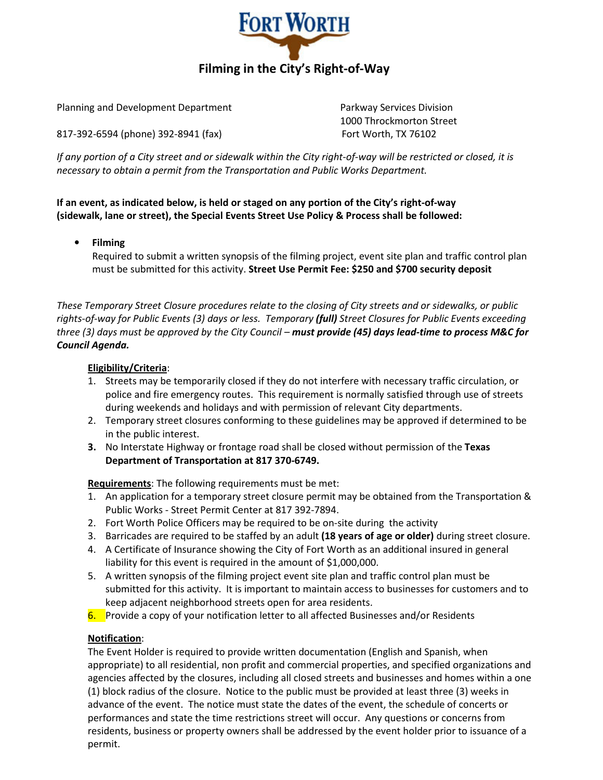

Planning and Development Department **Parkway Services Division** 

817-392-6594 (phone) 392-8941 (fax) Fort Worth, TX 76102

1000 Throckmorton Street

If any portion of a City street and or sidewalk within the City right-of-way will be restricted or closed, it is necessary to obtain a permit from the Transportation and Public Works Department.

If an event, as indicated below, is held or staged on any portion of the City's right-of-way (sidewalk, lane or street), the Special Events Street Use Policy & Process shall be followed:

# • Filming

Required to submit a written synopsis of the filming project, event site plan and traffic control plan must be submitted for this activity. Street Use Permit Fee: \$250 and \$700 security deposit

These Temporary Street Closure procedures relate to the closing of City streets and or sidewalks, or public rights-of-way for Public Events (3) days or less. Temporary (full) Street Closures for Public Events exceeding three (3) days must be approved by the City Council – must provide (45) days lead-time to process M&C for Council Agenda.

# Eligibility/Criteria:

- 1. Streets may be temporarily closed if they do not interfere with necessary traffic circulation, or police and fire emergency routes. This requirement is normally satisfied through use of streets during weekends and holidays and with permission of relevant City departments.
- 2. Temporary street closures conforming to these guidelines may be approved if determined to be in the public interest.
- 3. No Interstate Highway or frontage road shall be closed without permission of the Texas Department of Transportation at 817 370-6749.

Requirements: The following requirements must be met:

- 1. An application for a temporary street closure permit may be obtained from the Transportation & Public Works - Street Permit Center at 817 392-7894.
- 2. Fort Worth Police Officers may be required to be on-site during the activity
- 3. Barricades are required to be staffed by an adult (18 years of age or older) during street closure.
- 4. A Certificate of Insurance showing the City of Fort Worth as an additional insured in general liability for this event is required in the amount of \$1,000,000.
- 5. A written synopsis of the filming project event site plan and traffic control plan must be submitted for this activity. It is important to maintain access to businesses for customers and to keep adjacent neighborhood streets open for area residents.
- 6. Provide a copy of your notification letter to all affected Businesses and/or Residents

## Notification:

 The Event Holder is required to provide written documentation (English and Spanish, when appropriate) to all residential, non profit and commercial properties, and specified organizations and agencies affected by the closures, including all closed streets and businesses and homes within a one (1) block radius of the closure. Notice to the public must be provided at least three (3) weeks in advance of the event. The notice must state the dates of the event, the schedule of concerts or performances and state the time restrictions street will occur. Any questions or concerns from residents, business or property owners shall be addressed by the event holder prior to issuance of a permit.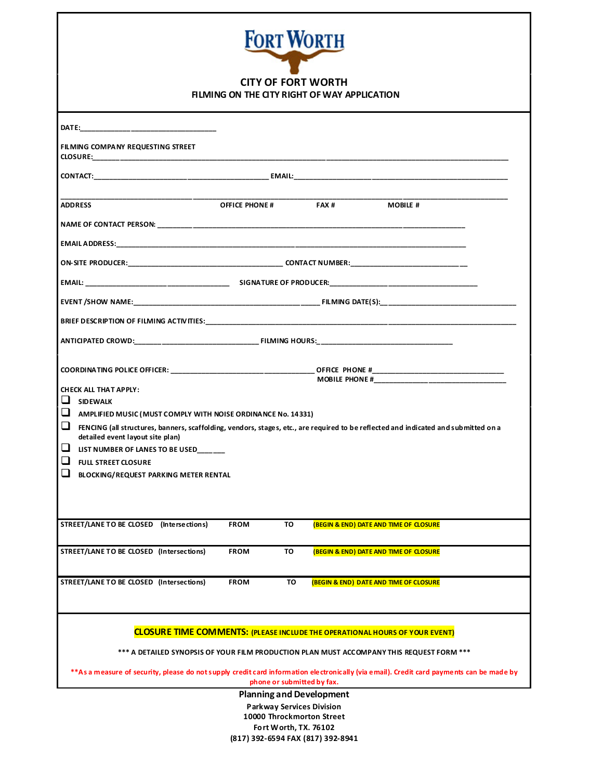| <b>FORT WORTH</b><br><b>CITY OF FORT WORTH</b><br>FILMING ON THE CITY RIGHT OF WAY APPLICATION                                                                                                                                 |  |  |  |  |
|--------------------------------------------------------------------------------------------------------------------------------------------------------------------------------------------------------------------------------|--|--|--|--|
| DATE: the contract of the contract of the contract of the contract of the contract of the contract of the contract of the contract of the contract of the contract of the contract of the contract of the contract of the cont |  |  |  |  |
| FILMING COMPANY REQUESTING STREET<br>CLOSURE:_________________________                                                                                                                                                         |  |  |  |  |
|                                                                                                                                                                                                                                |  |  |  |  |
| <b>OFFICE PHONE#</b><br>FAX#<br><b>MOBILE #</b><br><b>ADDRESS</b>                                                                                                                                                              |  |  |  |  |
|                                                                                                                                                                                                                                |  |  |  |  |
|                                                                                                                                                                                                                                |  |  |  |  |
|                                                                                                                                                                                                                                |  |  |  |  |
|                                                                                                                                                                                                                                |  |  |  |  |
|                                                                                                                                                                                                                                |  |  |  |  |
|                                                                                                                                                                                                                                |  |  |  |  |
|                                                                                                                                                                                                                                |  |  |  |  |
|                                                                                                                                                                                                                                |  |  |  |  |
| <b>CHECK ALL THAT APPLY:</b><br>$\Box$ SIDEWALK                                                                                                                                                                                |  |  |  |  |
| $\Box$<br>AMPLIFIED MUSIC (MUST COMPLY WITH NOISE ORDINANCE No. 14331)                                                                                                                                                         |  |  |  |  |
| ❏<br>FENCING (all structures, banners, scaffolding, vendors, stages, etc., are required to be reflected and indicated and submitted on a<br>detailed event layout site plan)                                                   |  |  |  |  |
| ப<br>LIST NUMBER OF LANES TO BE USED                                                                                                                                                                                           |  |  |  |  |
| <b>FULL STREET CLOSURE</b>                                                                                                                                                                                                     |  |  |  |  |
| BLOCKING/REQUEST PARKING METER RENTAL                                                                                                                                                                                          |  |  |  |  |
|                                                                                                                                                                                                                                |  |  |  |  |
| STREET/LANE TO BE CLOSED (Intersections)<br><b>FROM</b><br>TO<br><b>(BEGIN &amp; END) DATE AND TIME OF CLOSURE</b>                                                                                                             |  |  |  |  |
| STREET/LANE TO BE CLOSED (Intersections)<br>TO<br><b>FROM</b><br><b>(BEGIN &amp; END) DATE AND TIME OF CLOSURE</b>                                                                                                             |  |  |  |  |
| STREET/LANE TO BE CLOSED (Intersections)<br><b>FROM</b><br>TO<br><b>(BEGIN &amp; END) DATE AND TIME OF CLOSURE</b>                                                                                                             |  |  |  |  |
| <b>CLOSURE TIME COMMENTS: (PLEASE INCLUDE THE OPERATIONAL HOURS OF YOUR EVENT)</b>                                                                                                                                             |  |  |  |  |
| *** A DETAILED SYNOPSIS OF YOUR FILM PRODUCTION PLAN MUST ACCOMPANY THIS REQUEST FORM ***                                                                                                                                      |  |  |  |  |
| **As a measure of security, please do not supply credit card information electronically (via email). Credit card payments can be made by<br>phone or submitted by fax.                                                         |  |  |  |  |
| <b>Planning and Development</b><br><b>Parkway Services Division</b>                                                                                                                                                            |  |  |  |  |

10000 Throckmorton Street Fort Worth, TX. 76102 (817) 392-6594 FAX (817) 392-8941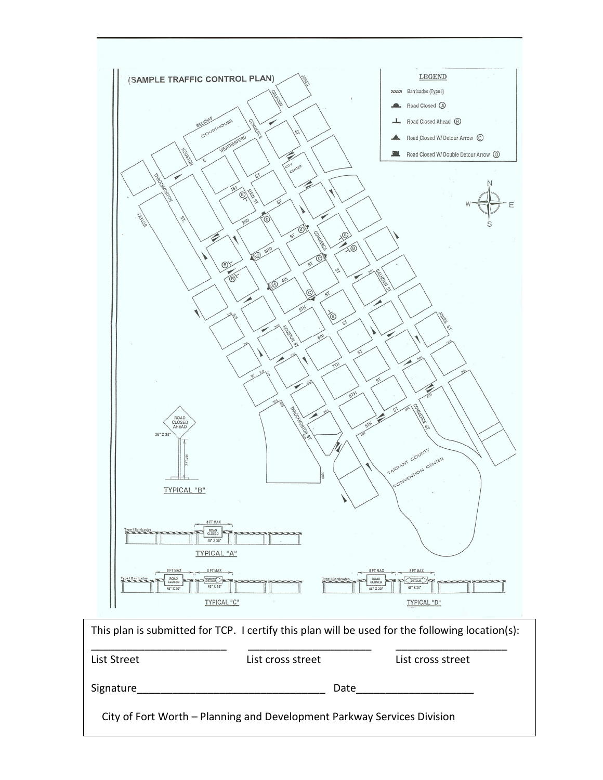

| This plan is submitted for TCP. I certify this plan will be used for the following location(s): |                   |                   |  |  |
|-------------------------------------------------------------------------------------------------|-------------------|-------------------|--|--|
| List Street                                                                                     | List cross street | List cross street |  |  |
| Signature                                                                                       |                   | Date              |  |  |
| City of Fort Worth – Planning and Development Parkway Services Division                         |                   |                   |  |  |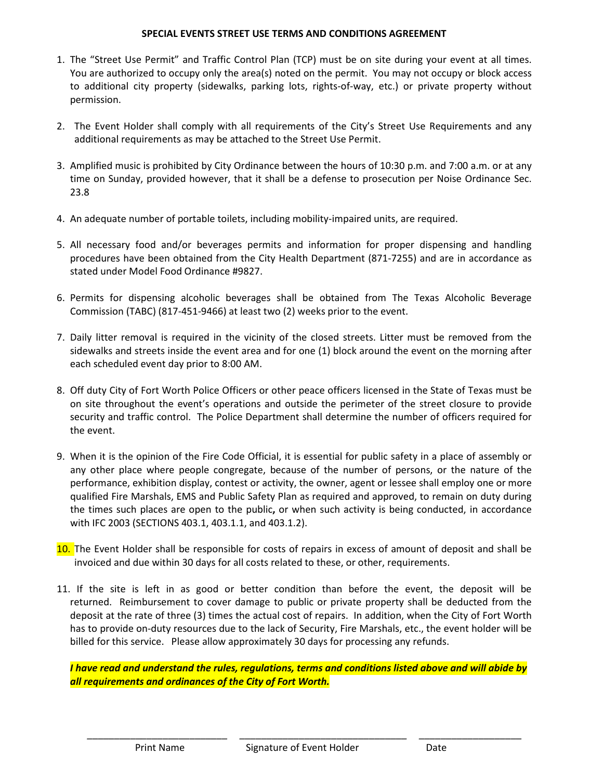#### SPECIAL EVENTS STREET USE TERMS AND CONDITIONS AGREEMENT

- 1. The "Street Use Permit" and Traffic Control Plan (TCP) must be on site during your event at all times. You are authorized to occupy only the area(s) noted on the permit. You may not occupy or block access to additional city property (sidewalks, parking lots, rights-of-way, etc.) or private property without permission.
- 2. The Event Holder shall comply with all requirements of the City's Street Use Requirements and any additional requirements as may be attached to the Street Use Permit.
- 3. Amplified music is prohibited by City Ordinance between the hours of 10:30 p.m. and 7:00 a.m. or at any time on Sunday, provided however, that it shall be a defense to prosecution per Noise Ordinance Sec. 23.8
- 4. An adequate number of portable toilets, including mobility-impaired units, are required.
- 5. All necessary food and/or beverages permits and information for proper dispensing and handling procedures have been obtained from the City Health Department (871-7255) and are in accordance as stated under Model Food Ordinance #9827.
- 6. Permits for dispensing alcoholic beverages shall be obtained from The Texas Alcoholic Beverage Commission (TABC) (817-451-9466) at least two (2) weeks prior to the event.
- 7. Daily litter removal is required in the vicinity of the closed streets. Litter must be removed from the sidewalks and streets inside the event area and for one (1) block around the event on the morning after each scheduled event day prior to 8:00 AM.
- 8. Off duty City of Fort Worth Police Officers or other peace officers licensed in the State of Texas must be on site throughout the event's operations and outside the perimeter of the street closure to provide security and traffic control. The Police Department shall determine the number of officers required for the event.
- 9. When it is the opinion of the Fire Code Official, it is essential for public safety in a place of assembly or any other place where people congregate, because of the number of persons, or the nature of the performance, exhibition display, contest or activity, the owner, agent or lessee shall employ one or more qualified Fire Marshals, EMS and Public Safety Plan as required and approved, to remain on duty during the times such places are open to the public, or when such activity is being conducted, in accordance with IFC 2003 (SECTIONS 403.1, 403.1.1, and 403.1.2).
- 10. The Event Holder shall be responsible for costs of repairs in excess of amount of deposit and shall be invoiced and due within 30 days for all costs related to these, or other, requirements.
- 11. If the site is left in as good or better condition than before the event, the deposit will be returned. Reimbursement to cover damage to public or private property shall be deducted from the deposit at the rate of three (3) times the actual cost of repairs. In addition, when the City of Fort Worth has to provide on-duty resources due to the lack of Security, Fire Marshals, etc., the event holder will be billed for this service. Please allow approximately 30 days for processing any refunds.

I have read and understand the rules, regulations, terms and conditions listed above and will abide by all requirements and ordinances of the City of Fort Worth.